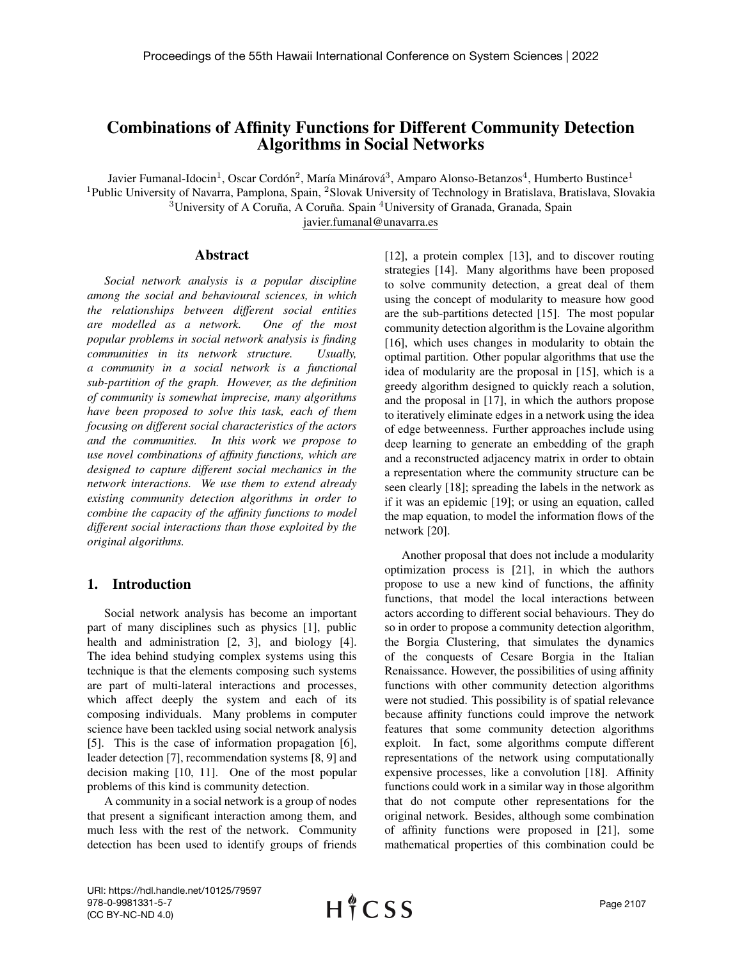# Combinations of Affinity Functions for Different Community Detection Algorithms in Social Networks

Javier Fumanal-Idocin<sup>1</sup>, Oscar Cordón<sup>2</sup>, María Minárová<sup>3</sup>, Amparo Alonso-Betanzos<sup>4</sup>, Humberto Bustince<sup>1</sup>

<sup>1</sup>Public University of Navarra, Pamplona, Spain, <sup>2</sup>Slovak University of Technology in Bratislava, Bratislava, Slovakia  $3$ University of A Coruña, A Coruña. Spain  $4$ University of Granada, Granada, Spain

javier.fumanal@unavarra.es

### Abstract

*Social network analysis is a popular discipline among the social and behavioural sciences, in which the relationships between different social entities are modelled as a network. One of the most popular problems in social network analysis is finding communities in its network structure. Usually, a community in a social network is a functional sub-partition of the graph. However, as the definition of community is somewhat imprecise, many algorithms have been proposed to solve this task, each of them focusing on different social characteristics of the actors and the communities. In this work we propose to use novel combinations of affinity functions, which are designed to capture different social mechanics in the network interactions. We use them to extend already existing community detection algorithms in order to combine the capacity of the affinity functions to model different social interactions than those exploited by the original algorithms.*

# 1. Introduction

Social network analysis has become an important part of many disciplines such as physics [1], public health and administration [2, 3], and biology [4]. The idea behind studying complex systems using this technique is that the elements composing such systems are part of multi-lateral interactions and processes, which affect deeply the system and each of its composing individuals. Many problems in computer science have been tackled using social network analysis [5]. This is the case of information propagation [6], leader detection [7], recommendation systems [8, 9] and decision making [10, 11]. One of the most popular problems of this kind is community detection.

A community in a social network is a group of nodes that present a significant interaction among them, and much less with the rest of the network. Community detection has been used to identify groups of friends [12], a protein complex [13], and to discover routing strategies [14]. Many algorithms have been proposed to solve community detection, a great deal of them using the concept of modularity to measure how good are the sub-partitions detected [15]. The most popular community detection algorithm is the Lovaine algorithm [16], which uses changes in modularity to obtain the optimal partition. Other popular algorithms that use the idea of modularity are the proposal in [15], which is a greedy algorithm designed to quickly reach a solution, and the proposal in [17], in which the authors propose to iteratively eliminate edges in a network using the idea of edge betweenness. Further approaches include using deep learning to generate an embedding of the graph and a reconstructed adjacency matrix in order to obtain a representation where the community structure can be seen clearly [18]; spreading the labels in the network as if it was an epidemic [19]; or using an equation, called the map equation, to model the information flows of the network [20].

Another proposal that does not include a modularity optimization process is [21], in which the authors propose to use a new kind of functions, the affinity functions, that model the local interactions between actors according to different social behaviours. They do so in order to propose a community detection algorithm, the Borgia Clustering, that simulates the dynamics of the conquests of Cesare Borgia in the Italian Renaissance. However, the possibilities of using affinity functions with other community detection algorithms were not studied. This possibility is of spatial relevance because affinity functions could improve the network features that some community detection algorithms exploit. In fact, some algorithms compute different representations of the network using computationally expensive processes, like a convolution [18]. Affinity functions could work in a similar way in those algorithm that do not compute other representations for the original network. Besides, although some combination of affinity functions were proposed in [21], some mathematical properties of this combination could be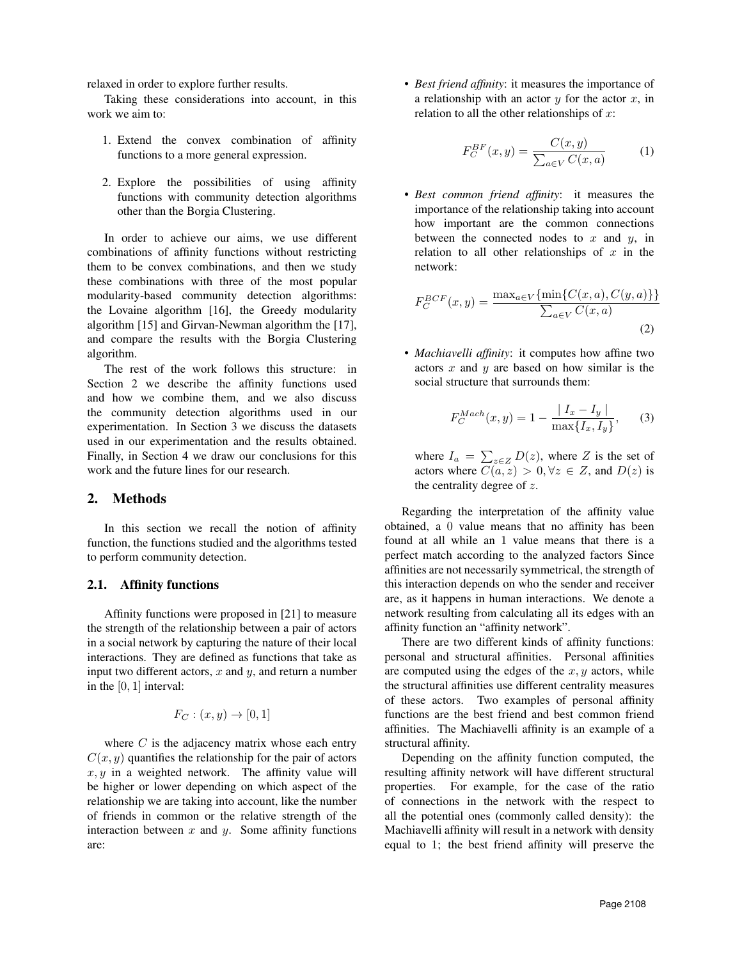relaxed in order to explore further results.

Taking these considerations into account, in this work we aim to:

- 1. Extend the convex combination of affinity functions to a more general expression.
- 2. Explore the possibilities of using affinity functions with community detection algorithms other than the Borgia Clustering.

In order to achieve our aims, we use different combinations of affinity functions without restricting them to be convex combinations, and then we study these combinations with three of the most popular modularity-based community detection algorithms: the Lovaine algorithm [16], the Greedy modularity algorithm [15] and Girvan-Newman algorithm the [17], and compare the results with the Borgia Clustering algorithm.

The rest of the work follows this structure: in Section 2 we describe the affinity functions used and how we combine them, and we also discuss the community detection algorithms used in our experimentation. In Section 3 we discuss the datasets used in our experimentation and the results obtained. Finally, in Section 4 we draw our conclusions for this work and the future lines for our research.

### 2. Methods

In this section we recall the notion of affinity function, the functions studied and the algorithms tested to perform community detection.

#### 2.1. Affinity functions

Affinity functions were proposed in [21] to measure the strength of the relationship between a pair of actors in a social network by capturing the nature of their local interactions. They are defined as functions that take as input two different actors,  $x$  and  $y$ , and return a number in the  $[0, 1]$  interval:

$$
F_C : (x, y) \to [0, 1]
$$

where  $C$  is the adjacency matrix whose each entry  $C(x, y)$  quantifies the relationship for the pair of actors  $x, y$  in a weighted network. The affinity value will be higher or lower depending on which aspect of the relationship we are taking into account, like the number of friends in common or the relative strength of the interaction between  $x$  and  $y$ . Some affinity functions are:

• *Best friend affinity*: it measures the importance of a relationship with an actor  $y$  for the actor  $x$ , in relation to all the other relationships of  $x$ :

$$
F_C^{BF}(x,y) = \frac{C(x,y)}{\sum_{a \in V} C(x,a)} \tag{1}
$$

• *Best common friend affinity*: it measures the importance of the relationship taking into account how important are the common connections between the connected nodes to  $x$  and  $y$ , in relation to all other relationships of  $x$  in the network:

$$
F_C^{BCF}(x,y) = \frac{\max_{a \in V} {\min\{C(x,a), C(y,a)\}\}}{\sum_{a \in V} C(x,a)}
$$
(2)

• *Machiavelli affinity*: it computes how affine two actors  $x$  and  $y$  are based on how similar is the social structure that surrounds them:

$$
F_C^{Mach}(x, y) = 1 - \frac{|I_x - I_y|}{\max\{I_x, I_y\}},
$$
 (3)

where  $I_a = \sum_{z \in Z} D(z)$ , where Z is the set of actors where  $C(a, z) > 0, \forall z \in Z$ , and  $D(z)$  is the centrality degree of  $z$ .

Regarding the interpretation of the affinity value obtained, a 0 value means that no affinity has been found at all while an 1 value means that there is a perfect match according to the analyzed factors Since affinities are not necessarily symmetrical, the strength of this interaction depends on who the sender and receiver are, as it happens in human interactions. We denote a network resulting from calculating all its edges with an affinity function an "affinity network".

There are two different kinds of affinity functions: personal and structural affinities. Personal affinities are computed using the edges of the  $x, y$  actors, while the structural affinities use different centrality measures of these actors. Two examples of personal affinity functions are the best friend and best common friend affinities. The Machiavelli affinity is an example of a structural affinity.

Depending on the affinity function computed, the resulting affinity network will have different structural properties. For example, for the case of the ratio of connections in the network with the respect to all the potential ones (commonly called density): the Machiavelli affinity will result in a network with density equal to 1; the best friend affinity will preserve the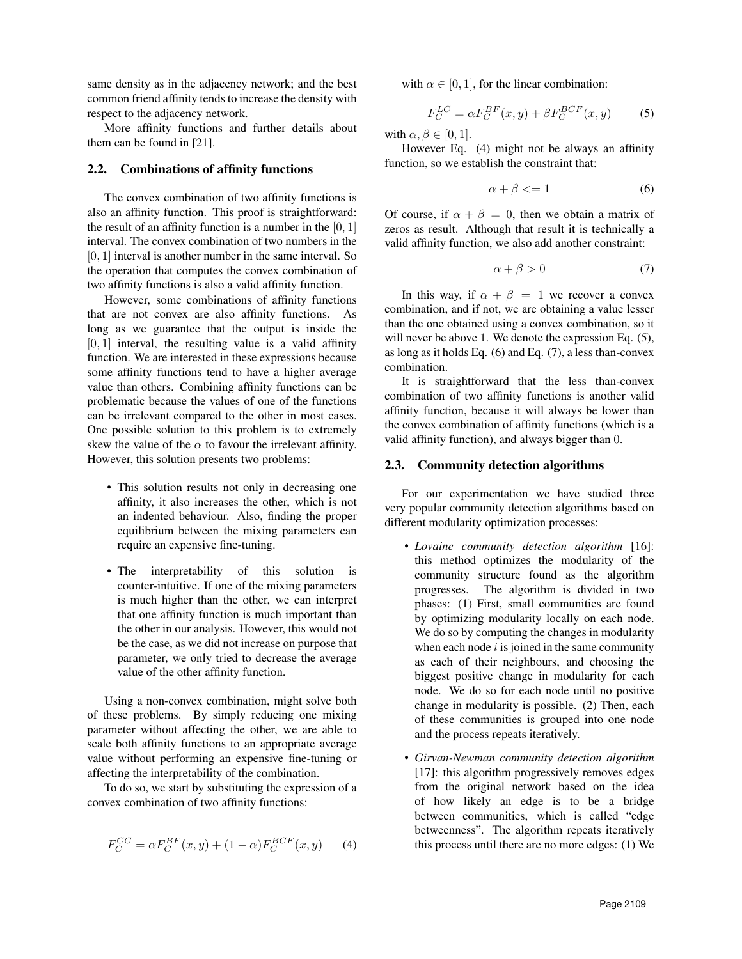same density as in the adjacency network; and the best common friend affinity tends to increase the density with respect to the adjacency network.

More affinity functions and further details about them can be found in [21].

#### 2.2. Combinations of affinity functions

The convex combination of two affinity functions is also an affinity function. This proof is straightforward: the result of an affinity function is a number in the  $[0, 1]$ interval. The convex combination of two numbers in the [0, 1] interval is another number in the same interval. So the operation that computes the convex combination of two affinity functions is also a valid affinity function.

However, some combinations of affinity functions that are not convex are also affinity functions. As long as we guarantee that the output is inside the  $[0, 1]$  interval, the resulting value is a valid affinity function. We are interested in these expressions because some affinity functions tend to have a higher average value than others. Combining affinity functions can be problematic because the values of one of the functions can be irrelevant compared to the other in most cases. One possible solution to this problem is to extremely skew the value of the  $\alpha$  to favour the irrelevant affinity. However, this solution presents two problems:

- This solution results not only in decreasing one affinity, it also increases the other, which is not an indented behaviour. Also, finding the proper equilibrium between the mixing parameters can require an expensive fine-tuning.
- The interpretability of this solution is counter-intuitive. If one of the mixing parameters is much higher than the other, we can interpret that one affinity function is much important than the other in our analysis. However, this would not be the case, as we did not increase on purpose that parameter, we only tried to decrease the average value of the other affinity function.

Using a non-convex combination, might solve both of these problems. By simply reducing one mixing parameter without affecting the other, we are able to scale both affinity functions to an appropriate average value without performing an expensive fine-tuning or affecting the interpretability of the combination.

To do so, we start by substituting the expression of a convex combination of two affinity functions:

$$
F_C^{CC} = \alpha F_C^{BF}(x, y) + (1 - \alpha) F_C^{BCF}(x, y)
$$
 (4)

with  $\alpha \in [0, 1]$ , for the linear combination:

$$
F_C^{LC} = \alpha F_C^{BF}(x, y) + \beta F_C^{BCF}(x, y)
$$
 (5)

with  $\alpha, \beta \in [0, 1]$ .

However Eq. (4) might not be always an affinity function, so we establish the constraint that:

$$
\alpha + \beta < = 1 \tag{6}
$$

Of course, if  $\alpha + \beta = 0$ , then we obtain a matrix of zeros as result. Although that result it is technically a valid affinity function, we also add another constraint:

$$
\alpha + \beta > 0 \tag{7}
$$

In this way, if  $\alpha + \beta = 1$  we recover a convex combination, and if not, we are obtaining a value lesser than the one obtained using a convex combination, so it will never be above 1. We denote the expression Eq.  $(5)$ , as long as it holds Eq. (6) and Eq. (7), a less than-convex combination.

It is straightforward that the less than-convex combination of two affinity functions is another valid affinity function, because it will always be lower than the convex combination of affinity functions (which is a valid affinity function), and always bigger than 0.

#### 2.3. Community detection algorithms

For our experimentation we have studied three very popular community detection algorithms based on different modularity optimization processes:

- *Lovaine community detection algorithm* [16]: this method optimizes the modularity of the community structure found as the algorithm progresses. The algorithm is divided in two phases: (1) First, small communities are found by optimizing modularity locally on each node. We do so by computing the changes in modularity when each node  $i$  is joined in the same community as each of their neighbours, and choosing the biggest positive change in modularity for each node. We do so for each node until no positive change in modularity is possible. (2) Then, each of these communities is grouped into one node and the process repeats iteratively.
- *Girvan-Newman community detection algorithm* [17]: this algorithm progressively removes edges from the original network based on the idea of how likely an edge is to be a bridge between communities, which is called "edge betweenness". The algorithm repeats iteratively this process until there are no more edges: (1) We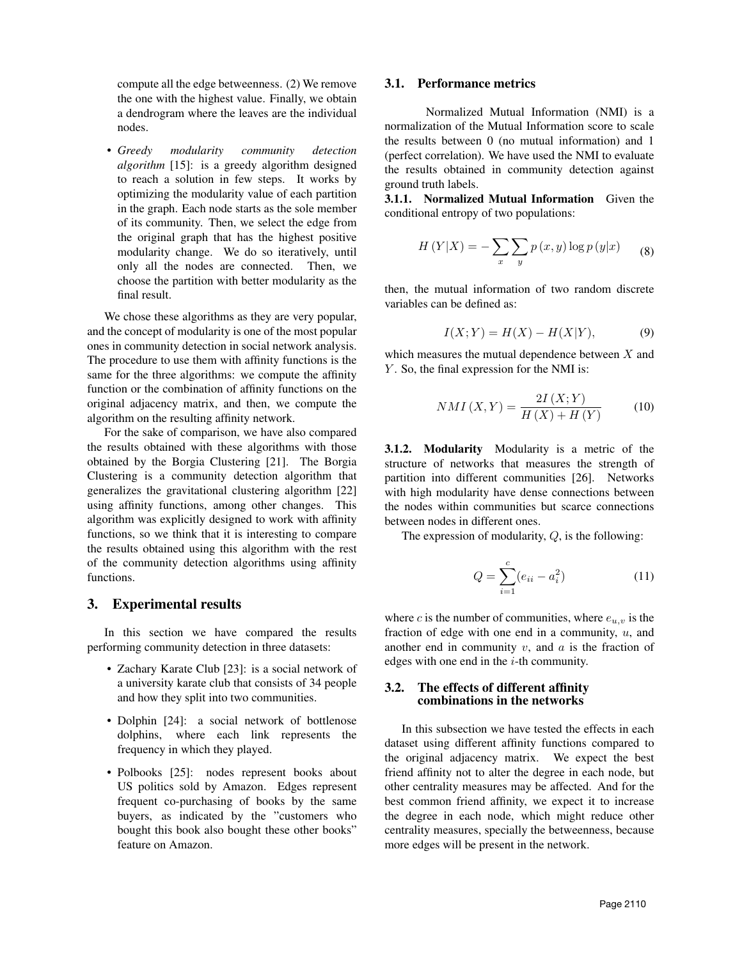compute all the edge betweenness. (2) We remove the one with the highest value. Finally, we obtain a dendrogram where the leaves are the individual nodes.

• *Greedy modularity community detection algorithm* [15]: is a greedy algorithm designed to reach a solution in few steps. It works by optimizing the modularity value of each partition in the graph. Each node starts as the sole member of its community. Then, we select the edge from the original graph that has the highest positive modularity change. We do so iteratively, until only all the nodes are connected. Then, we choose the partition with better modularity as the final result.

We chose these algorithms as they are very popular, and the concept of modularity is one of the most popular ones in community detection in social network analysis. The procedure to use them with affinity functions is the same for the three algorithms: we compute the affinity function or the combination of affinity functions on the original adjacency matrix, and then, we compute the algorithm on the resulting affinity network.

For the sake of comparison, we have also compared the results obtained with these algorithms with those obtained by the Borgia Clustering [21]. The Borgia Clustering is a community detection algorithm that generalizes the gravitational clustering algorithm [22] using affinity functions, among other changes. This algorithm was explicitly designed to work with affinity functions, so we think that it is interesting to compare the results obtained using this algorithm with the rest of the community detection algorithms using affinity functions.

# 3. Experimental results

In this section we have compared the results performing community detection in three datasets:

- Zachary Karate Club [23]: is a social network of a university karate club that consists of 34 people and how they split into two communities.
- Dolphin [24]: a social network of bottlenose dolphins, where each link represents the frequency in which they played.
- Polbooks [25]: nodes represent books about US politics sold by Amazon. Edges represent frequent co-purchasing of books by the same buyers, as indicated by the "customers who bought this book also bought these other books" feature on Amazon.

#### 3.1. Performance metrics

Normalized Mutual Information (NMI) is a normalization of the Mutual Information score to scale the results between 0 (no mutual information) and 1 (perfect correlation). We have used the NMI to evaluate the results obtained in community detection against ground truth labels.

3.1.1. Normalized Mutual Information Given the conditional entropy of two populations:

$$
H(Y|X) = -\sum_{x} \sum_{y} p(x, y) \log p(y|x)
$$
 (8)

then, the mutual information of two random discrete variables can be defined as:

$$
I(X;Y) = H(X) - H(X|Y),\tag{9}
$$

which measures the mutual dependence between X and  $Y$ . So, the final expression for the NMI is:

$$
NMI(X,Y) = \frac{2I(X;Y)}{H(X) + H(Y)}\tag{10}
$$

3.1.2. Modularity Modularity is a metric of the structure of networks that measures the strength of partition into different communities [26]. Networks with high modularity have dense connections between the nodes within communities but scarce connections between nodes in different ones.

The expression of modularity, Q, is the following:

$$
Q = \sum_{i=1}^{c} (e_{ii} - a_i^2)
$$
 (11)

where c is the number of communities, where  $e_{u,v}$  is the fraction of edge with one end in a community,  $u$ , and another end in community  $v$ , and  $a$  is the fraction of edges with one end in the  $i$ -th community.

### 3.2. The effects of different affinity combinations in the networks

In this subsection we have tested the effects in each dataset using different affinity functions compared to the original adjacency matrix. We expect the best friend affinity not to alter the degree in each node, but other centrality measures may be affected. And for the best common friend affinity, we expect it to increase the degree in each node, which might reduce other centrality measures, specially the betweenness, because more edges will be present in the network.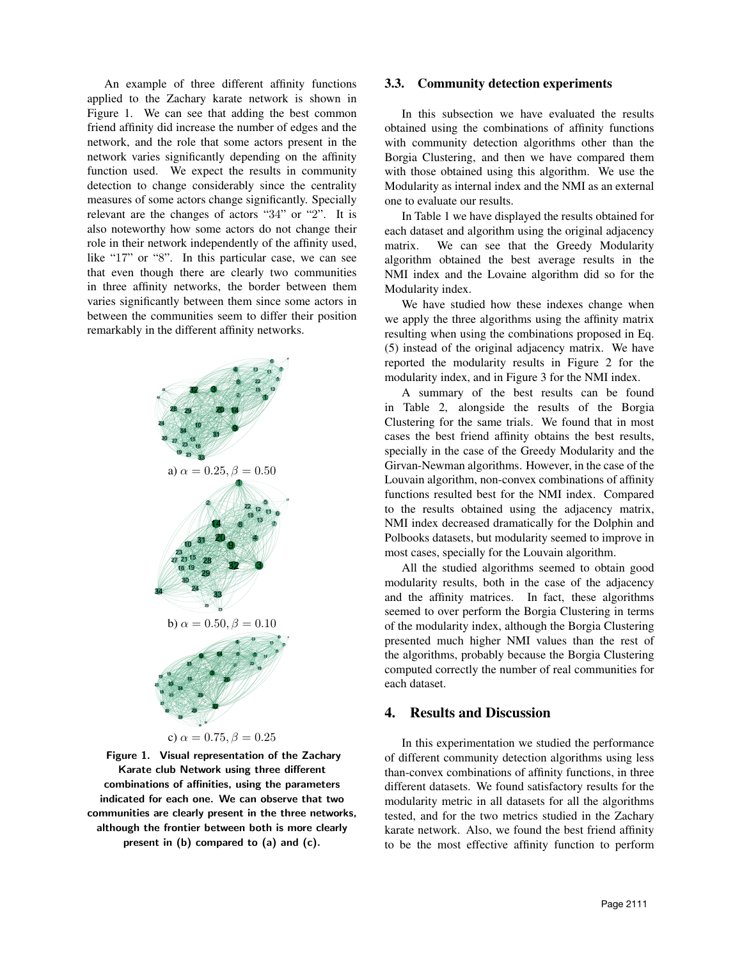An example of three different affinity functions applied to the Zachary karate network is shown in Figure 1. We can see that adding the best common friend affinity did increase the number of edges and the network, and the role that some actors present in the network varies significantly depending on the affinity function used. We expect the results in community detection to change considerably since the centrality measures of some actors change significantly. Specially relevant are the changes of actors "34" or "2". It is also noteworthy how some actors do not change their role in their network independently of the affinity used, like "17" or "8". In this particular case, we can see that even though there are clearly two communities in three affinity networks, the border between them varies significantly between them since some actors in between the communities seem to differ their position remarkably in the different affinity networks.



Figure 1. Visual representation of the Zachary Karate club Network using three different combinations of affinities, using the parameters indicated for each one. We can observe that two communities are clearly present in the three networks, although the frontier between both is more clearly present in (b) compared to (a) and (c).

## 3.3. Community detection experiments

In this subsection we have evaluated the results obtained using the combinations of affinity functions with community detection algorithms other than the Borgia Clustering, and then we have compared them with those obtained using this algorithm. We use the Modularity as internal index and the NMI as an external one to evaluate our results.

In Table 1 we have displayed the results obtained for each dataset and algorithm using the original adjacency matrix. We can see that the Greedy Modularity algorithm obtained the best average results in the NMI index and the Lovaine algorithm did so for the Modularity index.

We have studied how these indexes change when we apply the three algorithms using the affinity matrix resulting when using the combinations proposed in Eq. (5) instead of the original adjacency matrix. We have reported the modularity results in Figure 2 for the modularity index, and in Figure 3 for the NMI index.

A summary of the best results can be found in Table 2, alongside the results of the Borgia Clustering for the same trials. We found that in most cases the best friend affinity obtains the best results, specially in the case of the Greedy Modularity and the Girvan-Newman algorithms. However, in the case of the Louvain algorithm, non-convex combinations of affinity functions resulted best for the NMI index. Compared to the results obtained using the adjacency matrix, NMI index decreased dramatically for the Dolphin and Polbooks datasets, but modularity seemed to improve in most cases, specially for the Louvain algorithm.

All the studied algorithms seemed to obtain good modularity results, both in the case of the adjacency and the affinity matrices. In fact, these algorithms seemed to over perform the Borgia Clustering in terms of the modularity index, although the Borgia Clustering presented much higher NMI values than the rest of the algorithms, probably because the Borgia Clustering computed correctly the number of real communities for each dataset.

### 4. Results and Discussion

In this experimentation we studied the performance of different community detection algorithms using less than-convex combinations of affinity functions, in three different datasets. We found satisfactory results for the modularity metric in all datasets for all the algorithms tested, and for the two metrics studied in the Zachary karate network. Also, we found the best friend affinity to be the most effective affinity function to perform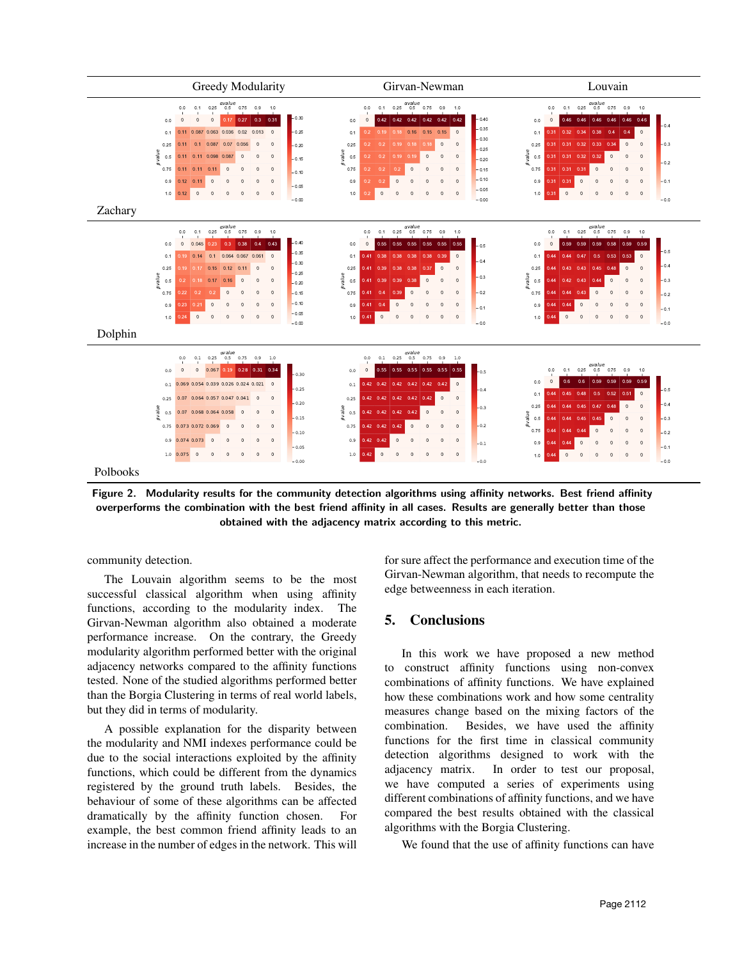

Figure 2. Modularity results for the community detection algorithms using affinity networks. Best friend affinity overperforms the combination with the best friend affinity in all cases. Results are generally better than those obtained with the adjacency matrix according to this metric.

community detection.

The Louvain algorithm seems to be the most successful classical algorithm when using affinity functions, according to the modularity index. The Girvan-Newman algorithm also obtained a moderate performance increase. On the contrary, the Greedy modularity algorithm performed better with the original adjacency networks compared to the affinity functions tested. None of the studied algorithms performed better than the Borgia Clustering in terms of real world labels, but they did in terms of modularity.

A possible explanation for the disparity between the modularity and NMI indexes performance could be due to the social interactions exploited by the affinity functions, which could be different from the dynamics registered by the ground truth labels. Besides, the behaviour of some of these algorithms can be affected dramatically by the affinity function chosen. For example, the best common friend affinity leads to an increase in the number of edges in the network. This will for sure affect the performance and execution time of the Girvan-Newman algorithm, that needs to recompute the edge betweenness in each iteration.

# 5. Conclusions

In this work we have proposed a new method to construct affinity functions using non-convex combinations of affinity functions. We have explained how these combinations work and how some centrality measures change based on the mixing factors of the combination. Besides, we have used the affinity functions for the first time in classical community detection algorithms designed to work with the adjacency matrix. In order to test our proposal, we have computed a series of experiments using different combinations of affinity functions, and we have compared the best results obtained with the classical algorithms with the Borgia Clustering.

We found that the use of affinity functions can have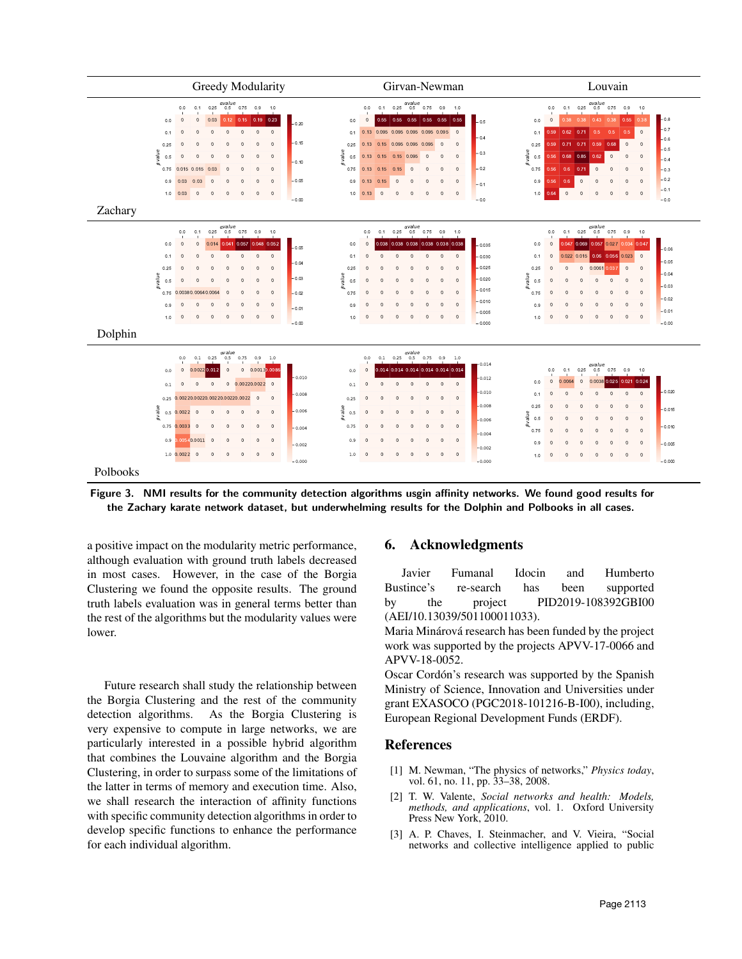

Figure 3. NMI results for the community detection algorithms usgin affinity networks. We found good results for the Zachary karate network dataset, but underwhelming results for the Dolphin and Polbooks in all cases.

a positive impact on the modularity metric performance, although evaluation with ground truth labels decreased in most cases. However, in the case of the Borgia Clustering we found the opposite results. The ground truth labels evaluation was in general terms better than the rest of the algorithms but the modularity values were lower.

Future research shall study the relationship between the Borgia Clustering and the rest of the community detection algorithms. As the Borgia Clustering is very expensive to compute in large networks, we are particularly interested in a possible hybrid algorithm that combines the Louvaine algorithm and the Borgia Clustering, in order to surpass some of the limitations of the latter in terms of memory and execution time. Also, we shall research the interaction of affinity functions with specific community detection algorithms in order to develop specific functions to enhance the performance for each individual algorithm.

# 6. Acknowledgments

Javier Fumanal Idocin and Humberto Bustince's re-search has been supported by the project PID2019-108392GBI00 (AEI/10.13039/501100011033).

Maria Minárová research has been funded by the project work was supported by the projects APVV-17-0066 and APVV-18-0052.

Oscar Cordón's research was supported by the Spanish Ministry of Science, Innovation and Universities under grant EXASOCO (PGC2018-101216-B-I00), including, European Regional Development Funds (ERDF).

### References

- [1] M. Newman, "The physics of networks," *Physics today*, vol. 61, no. 11, pp. 33–38, 2008.
- [2] T. W. Valente, *Social networks and health: Models, methods, and applications*, vol. 1. Oxford University Press New York, 2010.
- [3] A. P. Chaves, I. Steinmacher, and V. Vieira, "Social networks and collective intelligence applied to public